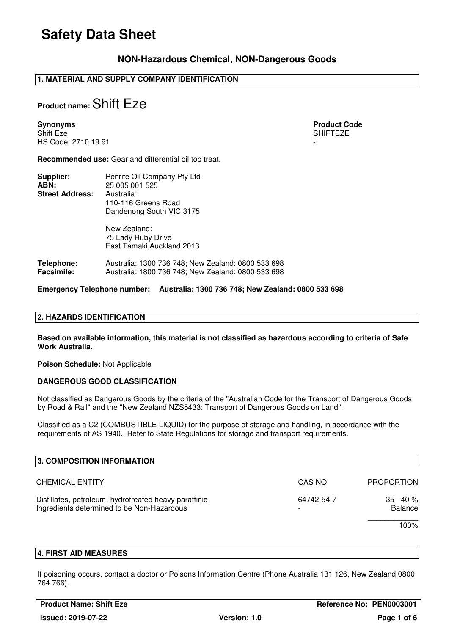### **NON-Hazardous Chemical, NON-Dangerous Goods**

### **1. MATERIAL AND SUPPLY COMPANY IDENTIFICATION**

## **Product name:** Shift Eze

**Synonyms** Product Code **Product Code Product Code Product Code** Shift Eze SHIFTEZE HS Code: 2710.19.91 -

**Recommended use:** Gear and differential oil top treat.

| Supplier:<br>ABN:<br><b>Street Address:</b> | Penrite Oil Company Pty Ltd<br>25 005 001 525<br>Australia:<br>110-116 Greens Road<br>Dandenong South VIC 3175 |
|---------------------------------------------|----------------------------------------------------------------------------------------------------------------|
|                                             | New Zealand:<br>75 Lady Ruby Drive<br>East Tamaki Auckland 2013                                                |
|                                             |                                                                                                                |

**Telephone:** Australia: 1300 736 748; New Zealand: 0800 533 698 **Facsimile:** Australia: 1800 736 748; New Zealand: 0800 533 698

#### **Emergency Telephone number: Australia: 1300 736 748; New Zealand: 0800 533 698**

#### **2. HAZARDS IDENTIFICATION**

**Based on available information, this material is not classified as hazardous according to criteria of Safe Work Australia.** 

**Poison Schedule:** Not Applicable

#### **DANGEROUS GOOD CLASSIFICATION**

Not classified as Dangerous Goods by the criteria of the "Australian Code for the Transport of Dangerous Goods by Road & Rail" and the "New Zealand NZS5433: Transport of Dangerous Goods on Land".

Classified as a C2 (COMBUSTIBLE LIQUID) for the purpose of storage and handling, in accordance with the requirements of AS 1940. Refer to State Regulations for storage and transport requirements.

| 3. COMPOSITION INFORMATION                                                                          |            |                                |
|-----------------------------------------------------------------------------------------------------|------------|--------------------------------|
| <b>CHEMICAL ENTITY</b>                                                                              | CAS NO     | <b>PROPORTION</b>              |
| Distillates, petroleum, hydrotreated heavy paraffinic<br>Ingredients determined to be Non-Hazardous | 64742-54-7 | $35 - 40 \%$<br><b>Balance</b> |
|                                                                                                     |            | 100%                           |

#### **4. FIRST AID MEASURES**

If poisoning occurs, contact a doctor or Poisons Information Centre (Phone Australia 131 126, New Zealand 0800 764 766).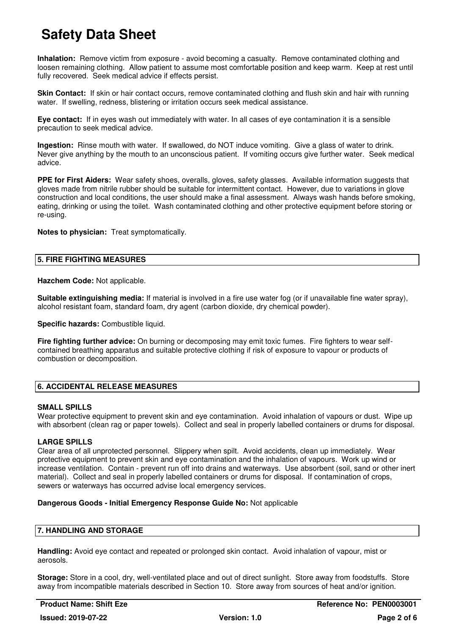**Inhalation:** Remove victim from exposure - avoid becoming a casualty. Remove contaminated clothing and loosen remaining clothing. Allow patient to assume most comfortable position and keep warm. Keep at rest until fully recovered. Seek medical advice if effects persist.

**Skin Contact:** If skin or hair contact occurs, remove contaminated clothing and flush skin and hair with running water. If swelling, redness, blistering or irritation occurs seek medical assistance.

**Eye contact:** If in eyes wash out immediately with water. In all cases of eye contamination it is a sensible precaution to seek medical advice.

**Ingestion:** Rinse mouth with water. If swallowed, do NOT induce vomiting. Give a glass of water to drink. Never give anything by the mouth to an unconscious patient. If vomiting occurs give further water. Seek medical advice.

**PPE for First Aiders:** Wear safety shoes, overalls, gloves, safety glasses. Available information suggests that gloves made from nitrile rubber should be suitable for intermittent contact. However, due to variations in glove construction and local conditions, the user should make a final assessment. Always wash hands before smoking, eating, drinking or using the toilet. Wash contaminated clothing and other protective equipment before storing or re-using.

**Notes to physician:** Treat symptomatically.

#### **5. FIRE FIGHTING MEASURES**

**Hazchem Code:** Not applicable.

**Suitable extinguishing media:** If material is involved in a fire use water fog (or if unavailable fine water spray), alcohol resistant foam, standard foam, dry agent (carbon dioxide, dry chemical powder).

**Specific hazards:** Combustible liquid.

**Fire fighting further advice:** On burning or decomposing may emit toxic fumes. Fire fighters to wear selfcontained breathing apparatus and suitable protective clothing if risk of exposure to vapour or products of combustion or decomposition.

### **6. ACCIDENTAL RELEASE MEASURES**

#### **SMALL SPILLS**

Wear protective equipment to prevent skin and eye contamination. Avoid inhalation of vapours or dust. Wipe up with absorbent (clean rag or paper towels). Collect and seal in properly labelled containers or drums for disposal.

#### **LARGE SPILLS**

Clear area of all unprotected personnel. Slippery when spilt. Avoid accidents, clean up immediately. Wear protective equipment to prevent skin and eye contamination and the inhalation of vapours. Work up wind or increase ventilation. Contain - prevent run off into drains and waterways. Use absorbent (soil, sand or other inert material). Collect and seal in properly labelled containers or drums for disposal. If contamination of crops, sewers or waterways has occurred advise local emergency services.

#### **Dangerous Goods - Initial Emergency Response Guide No:** Not applicable

#### **7. HANDLING AND STORAGE**

**Handling:** Avoid eye contact and repeated or prolonged skin contact. Avoid inhalation of vapour, mist or aerosols.

**Storage:** Store in a cool, dry, well-ventilated place and out of direct sunlight. Store away from foodstuffs. Store away from incompatible materials described in Section 10. Store away from sources of heat and/or ignition.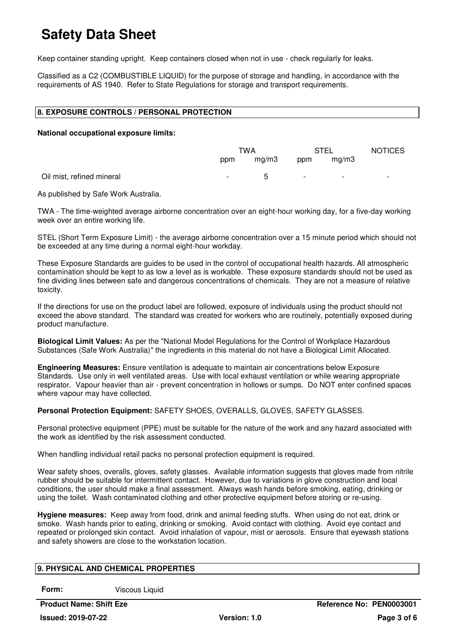Keep container standing upright. Keep containers closed when not in use - check regularly for leaks.

Classified as a C2 (COMBUSTIBLE LIQUID) for the purpose of storage and handling, in accordance with the requirements of AS 1940. Refer to State Regulations for storage and transport requirements.

#### **8. EXPOSURE CONTROLS / PERSONAL PROTECTION**

#### **National occupational exposure limits:**

|                           | TWA    |             | <b>STEL</b>              |                          | <b>NOTICES</b> |
|---------------------------|--------|-------------|--------------------------|--------------------------|----------------|
|                           | ppm    | mq/m3       | ppm                      | mq/m3                    |                |
| Oil mist, refined mineral | $\sim$ | $5^{\circ}$ | $\overline{\phantom{a}}$ | $\overline{\phantom{0}}$ |                |

As published by Safe Work Australia.

TWA - The time-weighted average airborne concentration over an eight-hour working day, for a five-day working week over an entire working life.

STEL (Short Term Exposure Limit) - the average airborne concentration over a 15 minute period which should not be exceeded at any time during a normal eight-hour workday.

These Exposure Standards are guides to be used in the control of occupational health hazards. All atmospheric contamination should be kept to as low a level as is workable. These exposure standards should not be used as fine dividing lines between safe and dangerous concentrations of chemicals. They are not a measure of relative toxicity.

If the directions for use on the product label are followed, exposure of individuals using the product should not exceed the above standard. The standard was created for workers who are routinely, potentially exposed during product manufacture.

**Biological Limit Values:** As per the "National Model Regulations for the Control of Workplace Hazardous Substances (Safe Work Australia)" the ingredients in this material do not have a Biological Limit Allocated.

**Engineering Measures:** Ensure ventilation is adequate to maintain air concentrations below Exposure Standards. Use only in well ventilated areas. Use with local exhaust ventilation or while wearing appropriate respirator. Vapour heavier than air - prevent concentration in hollows or sumps. Do NOT enter confined spaces where vapour may have collected.

**Personal Protection Equipment:** SAFETY SHOES, OVERALLS, GLOVES, SAFETY GLASSES.

Personal protective equipment (PPE) must be suitable for the nature of the work and any hazard associated with the work as identified by the risk assessment conducted.

When handling individual retail packs no personal protection equipment is required.

Wear safety shoes, overalls, gloves, safety glasses. Available information suggests that gloves made from nitrile rubber should be suitable for intermittent contact. However, due to variations in glove construction and local conditions, the user should make a final assessment. Always wash hands before smoking, eating, drinking or using the toilet. Wash contaminated clothing and other protective equipment before storing or re-using.

**Hygiene measures:** Keep away from food, drink and animal feeding stuffs. When using do not eat, drink or smoke. Wash hands prior to eating, drinking or smoking. Avoid contact with clothing. Avoid eye contact and repeated or prolonged skin contact. Avoid inhalation of vapour, mist or aerosols. Ensure that eyewash stations and safety showers are close to the workstation location.

### **9. PHYSICAL AND CHEMICAL PROPERTIES**

**Form:** Viscous Liquid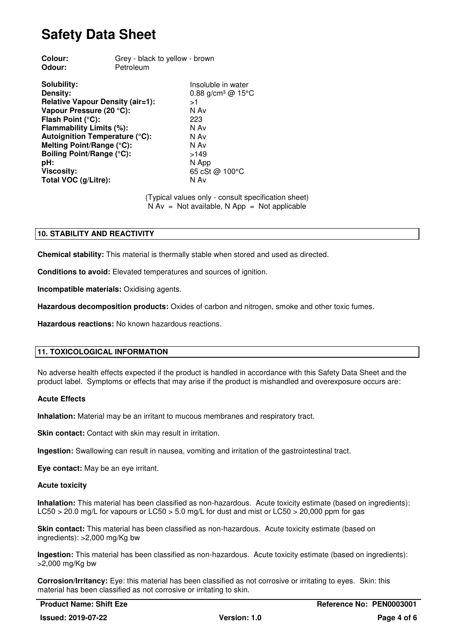| Colour:                                 | Grey - black to yellow - brown |                               |  |
|-----------------------------------------|--------------------------------|-------------------------------|--|
| Odour:                                  | Petroleum                      |                               |  |
| Solubility:                             |                                | Insoluble in water            |  |
| Density:                                |                                | 0.88 g/cm <sup>3</sup> @ 15°C |  |
| <b>Relative Vapour Density (air=1):</b> |                                | >1                            |  |
| Vapour Pressure (20 °C):                |                                | N Av                          |  |
| Flash Point (°C):                       |                                | 223                           |  |
| Flammability Limits (%):                |                                | N Av                          |  |
| Autoignition Temperature (°C):          |                                | N Av                          |  |
| Melting Point/Range (°C):               |                                | N Av                          |  |
| Boiling Point/Range (°C):               |                                | >149                          |  |
| pH:                                     |                                | N App                         |  |
| <b>Viscosity:</b>                       |                                | 65 cSt @ 100°C                |  |
| Total VOC (g/Litre):                    |                                | N Av                          |  |
|                                         |                                |                               |  |

(Typical values only - consult specification sheet)  $N Av = Not available, N App = Not applicable$ 

#### **10. STABILITY AND REACTIVITY**

**Chemical stability:** This material is thermally stable when stored and used as directed.

**Conditions to avoid:** Elevated temperatures and sources of ignition.

**Incompatible materials:** Oxidising agents.

**Hazardous decomposition products:** Oxides of carbon and nitrogen, smoke and other toxic fumes.

**Hazardous reactions:** No known hazardous reactions.

#### **11. TOXICOLOGICAL INFORMATION**

No adverse health effects expected if the product is handled in accordance with this Safety Data Sheet and the product label. Symptoms or effects that may arise if the product is mishandled and overexposure occurs are:

#### **Acute Effects**

**Inhalation:** Material may be an irritant to mucous membranes and respiratory tract.

**Skin contact:** Contact with skin may result in irritation.

**Ingestion:** Swallowing can result in nausea, vomiting and irritation of the gastrointestinal tract.

**Eye contact:** May be an eye irritant.

#### **Acute toxicity**

**Inhalation:** This material has been classified as non-hazardous. Acute toxicity estimate (based on ingredients): LC50 > 20.0 mg/L for vapours or LC50 > 5.0 mg/L for dust and mist or LC50 > 20,000 ppm for gas

**Skin contact:** This material has been classified as non-hazardous. Acute toxicity estimate (based on ingredients): >2,000 mg/Kg bw

**Ingestion:** This material has been classified as non-hazardous. Acute toxicity estimate (based on ingredients): >2,000 mg/Kg bw

**Corrosion/Irritancy:** Eye: this material has been classified as not corrosive or irritating to eyes. Skin: this material has been classified as not corrosive or irritating to skin.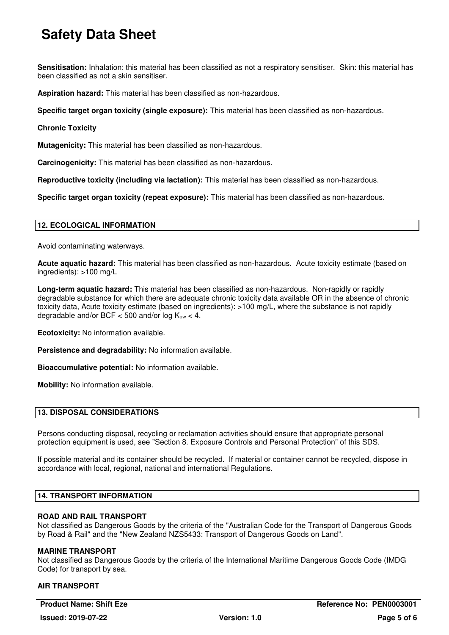**Sensitisation:** Inhalation: this material has been classified as not a respiratory sensitiser. Skin: this material has been classified as not a skin sensitiser.

**Aspiration hazard:** This material has been classified as non-hazardous.

**Specific target organ toxicity (single exposure):** This material has been classified as non-hazardous.

#### **Chronic Toxicity**

**Mutagenicity:** This material has been classified as non-hazardous.

**Carcinogenicity:** This material has been classified as non-hazardous.

**Reproductive toxicity (including via lactation):** This material has been classified as non-hazardous.

**Specific target organ toxicity (repeat exposure):** This material has been classified as non-hazardous.

#### **12. ECOLOGICAL INFORMATION**

Avoid contaminating waterways.

**Acute aquatic hazard:** This material has been classified as non-hazardous. Acute toxicity estimate (based on ingredients): >100 mg/L

**Long-term aquatic hazard:** This material has been classified as non-hazardous. Non-rapidly or rapidly degradable substance for which there are adequate chronic toxicity data available OR in the absence of chronic toxicity data, Acute toxicity estimate (based on ingredients): >100 mg/L, where the substance is not rapidly degradable and/or BCF  $<$  500 and/or log  $K_{ow}$   $<$  4.

**Ecotoxicity:** No information available.

**Persistence and degradability:** No information available.

**Bioaccumulative potential:** No information available.

**Mobility:** No information available.

#### **13. DISPOSAL CONSIDERATIONS**

Persons conducting disposal, recycling or reclamation activities should ensure that appropriate personal protection equipment is used, see "Section 8. Exposure Controls and Personal Protection" of this SDS.

If possible material and its container should be recycled. If material or container cannot be recycled, dispose in accordance with local, regional, national and international Regulations.

#### **14. TRANSPORT INFORMATION**

#### **ROAD AND RAIL TRANSPORT**

Not classified as Dangerous Goods by the criteria of the "Australian Code for the Transport of Dangerous Goods by Road & Rail" and the "New Zealand NZS5433: Transport of Dangerous Goods on Land".

#### **MARINE TRANSPORT**

Not classified as Dangerous Goods by the criteria of the International Maritime Dangerous Goods Code (IMDG Code) for transport by sea.

#### **AIR TRANSPORT**